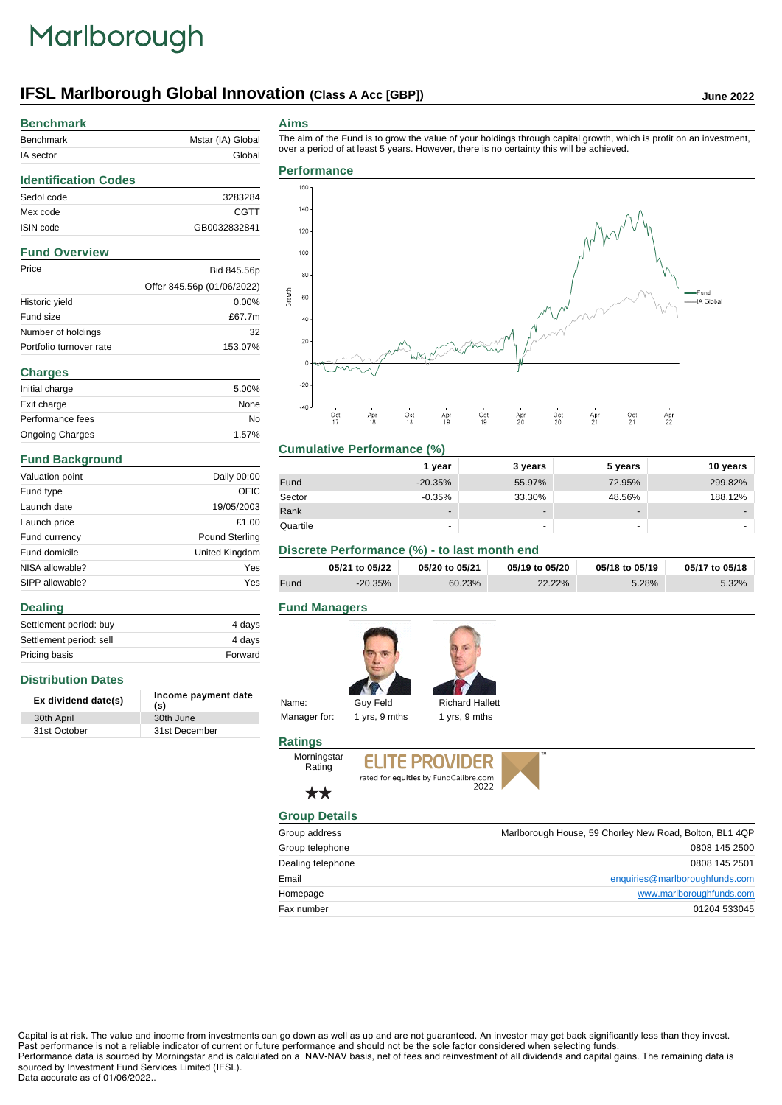# Marlborough

# **IFSL Marlborough Global Innovation (Class A Acc [GBP]) June 2022**

# **Benchmark**

| Benchmark | Mstar (IA) Global |
|-----------|-------------------|
| IA sector | Global            |
|           |                   |

The aim of the Fund is to grow the value of your holdings through capital growth, which is profit on an investment,

# **Identification Codes** Sedol code 3283284 Mex code CGTT ISIN code GB0032832841 **Fund Overview** Price Bid 845.56p Offer 845.56p (01/06/2022) Historic yield 0.00% Fund size  $£67.7m$ Number of holdings 32 Portfolio turnover rate 153.07% **Charges** Initial charge 5.00% Exit charge None Performance fees No Ongoing Charges 1.57%

# **Fund Background**

**Distribution Dates**

**Dealing**

| Valuation point | Daily 00:00           |
|-----------------|-----------------------|
| Fund type       | OEIC                  |
| Launch date     | 19/05/2003            |
| Launch price    | £1.00                 |
| Fund currency   | <b>Pound Sterling</b> |
| Fund domicile   | United Kingdom        |
| NISA allowable? | Yes                   |
| SIPP allowable? | Yes                   |

Settlement period: buy 4 days Settlement period: sell 4 days Pricing basis **Forward** 

**Ex dividend date(s) Income payment date (s)**

30th April 30th June 31st October 31st December

# **Aims**

over a period of at least 5 years. However, there is no certainty this will be achieved. **Performance** 180  $140.$ 120 100 80 inwth Fund 60 -lê Global 40  $20$  $-20$  $-40$  $\frac{0}{17}$  $rac{1}{18}$  $rac{1}{19}$  $Apr$  $rac{1}{20}$  $Apr$  $rac{1}{21}$  $\frac{AP}{22}$ 

## **Cumulative Performance (%)**

|          | 1 vear    | 3 years         | 5 years | 10 years |
|----------|-----------|-----------------|---------|----------|
| Fund     | $-20.35%$ | 55.97%          | 72.95%  | 299.82%  |
| Sector   | $-0.35%$  | 33.30%          | 48.56%  | 188.12%  |
| Rank     | -         | $\qquad \qquad$ | $\,$    |          |
| Quartile | -         | -               | -       |          |

# **Discrete Performance (%) - to last month end**

Ap<br>19

|      | 05/21 to 05/22 | 05/20 to 05/21 | 05/19 to 05/20 | 05/18 to 05/19 | 05/17 to 05/18 |
|------|----------------|----------------|----------------|----------------|----------------|
| Fund | $-20.35\%$     | 60.23%         | 22.22%         | 5.28%          | $5.32\%$       |

## **Fund Managers**



# **Ratings**



# ★★

| <b>Group Details</b> |                                                         |
|----------------------|---------------------------------------------------------|
| Group address        | Marlborough House, 59 Chorley New Road, Bolton, BL1 4QP |
| Group telephone      | 0808 145 2500                                           |
| Dealing telephone    | 0808 145 2501                                           |
| Email                | enquiries@marlboroughfunds.com                          |
| Homepage             | www.marlboroughfunds.com                                |
| Fax number           | 01204 533045                                            |

Capital is at risk. The value and income from investments can go down as well as up and are not guaranteed. An investor may get back significantly less than they invest. Past performance is not a reliable indicator of current or future performance and should not be the sole factor considered when selecting funds.

Performance data is sourced by Morningstar and is calculated on a NAV-NAV basis, net of fees and reinvestment of all dividends and capital gains. The remaining data is sourced by Investment Fund Services Limited (IFSL).

#### Data accurate as of 01/06/2022..